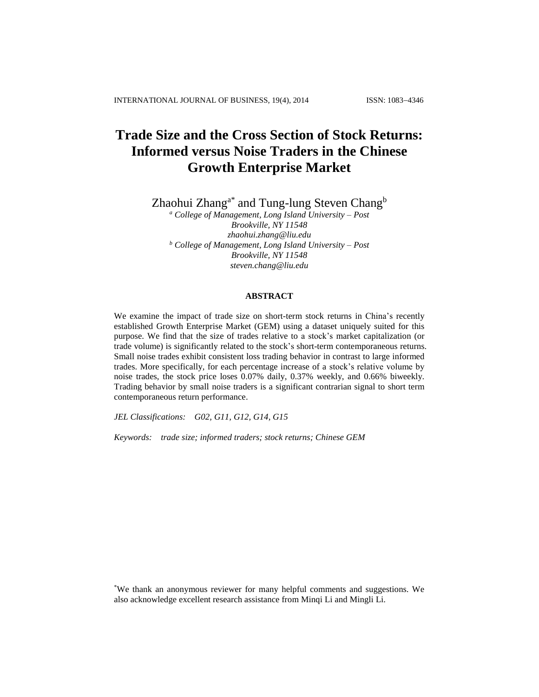# **Trade Size and the Cross Section of Stock Returns: Informed versus Noise Traders in the Chinese Growth Enterprise Market**

Zhaohui Zhang<sup>a\*</sup> and Tung-lung Steven Chang<sup>b</sup>

*<sup>a</sup> College of Management, Long Island University – Post Brookville, NY 11548 zhaohui.zhang@liu.edu <sup>b</sup> College of Management, Long Island University – Post Brookville, NY 11548 steven.chang@liu.edu*

# **ABSTRACT**

We examine the impact of trade size on short-term stock returns in China's recently established Growth Enterprise Market (GEM) using a dataset uniquely suited for this purpose. We find that the size of trades relative to a stock's market capitalization (or trade volume) is significantly related to the stock's short-term contemporaneous returns. Small noise trades exhibit consistent loss trading behavior in contrast to large informed trades. More specifically, for each percentage increase of a stock's relative volume by noise trades, the stock price loses 0.07% daily, 0.37% weekly, and 0.66% biweekly. Trading behavior by small noise traders is a significant contrarian signal to short term contemporaneous return performance.

*JEL Classifications: G02, G11, G12, G14, G15*

*Keywords: trade size; informed traders; stock returns; Chinese GEM*

\*We thank an anonymous reviewer for many helpful comments and suggestions. We also acknowledge excellent research assistance from Minqi Li and Mingli Li.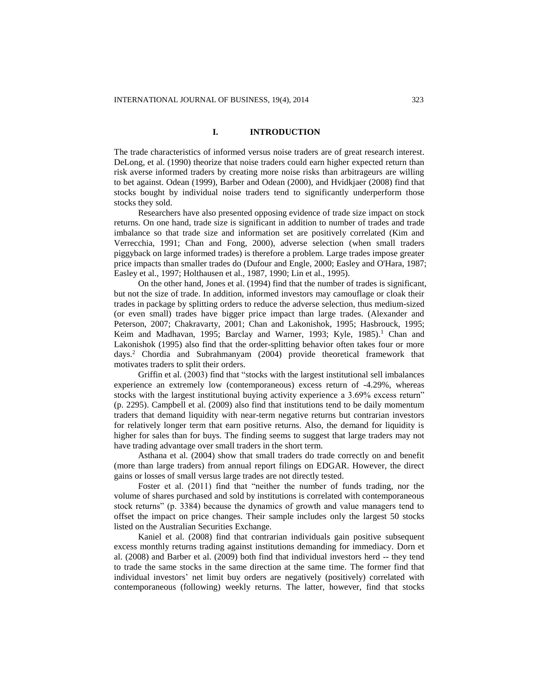## **I. INTRODUCTION**

The trade characteristics of informed versus noise traders are of great research interest. DeLong, et al. (1990) theorize that noise traders could earn higher expected return than risk averse informed traders by creating more noise risks than arbitrageurs are willing to bet against. Odean (1999), Barber and Odean (2000), and Hvidkjaer (2008) find that stocks bought by individual noise traders tend to significantly underperform those stocks they sold.

Researchers have also presented opposing evidence of trade size impact on stock returns. On one hand, trade size is significant in addition to number of trades and trade imbalance so that trade size and information set are positively correlated (Kim and Verrecchia, 1991; Chan and Fong, 2000), adverse selection (when small traders piggyback on large informed trades) is therefore a problem. Large trades impose greater price impacts than smaller trades do (Dufour and Engle, 2000; Easley and O'Hara, 1987; Easley et al., 1997; Holthausen et al., 1987, 1990; Lin et al., 1995).

On the other hand, Jones et al. (1994) find that the number of trades is significant, but not the size of trade. In addition, informed investors may camouflage or cloak their trades in package by splitting orders to reduce the adverse selection, thus medium-sized (or even small) trades have bigger price impact than large trades. (Alexander and Peterson, 2007; Chakravarty, 2001; Chan and Lakonishok, 1995; Hasbrouck, 1995; Keim and Madhavan, 1995; Barclay and Warner, 1993; Kyle, 1985).<sup>1</sup> Chan and Lakonishok (1995) also find that the order-splitting behavior often takes four or more days.<sup>2</sup> Chordia and Subrahmanyam (2004) provide theoretical framework that motivates traders to split their orders.

Griffin et al. (2003) find that "stocks with the largest institutional sell imbalances experience an extremely low (contemporaneous) excess return of -4.29%, whereas stocks with the largest institutional buying activity experience a 3.69% excess return" (p. 2295). Campbell et al. (2009) also find that institutions tend to be daily momentum traders that demand liquidity with near-term negative returns but contrarian investors for relatively longer term that earn positive returns. Also, the demand for liquidity is higher for sales than for buys. The finding seems to suggest that large traders may not have trading advantage over small traders in the short term.

Asthana et al. (2004) show that small traders do trade correctly on and benefit (more than large traders) from annual report filings on EDGAR. However, the direct gains or losses of small versus large trades are not directly tested.

Foster et al. (2011) find that "neither the number of funds trading, nor the volume of shares purchased and sold by institutions is correlated with contemporaneous stock returns" (p. 3384) because the dynamics of growth and value managers tend to offset the impact on price changes. Their sample includes only the largest 50 stocks listed on the Australian Securities Exchange.

Kaniel et al. (2008) find that contrarian individuals gain positive subsequent excess monthly returns trading against institutions demanding for immediacy. Dorn et al. (2008) and Barber et al. (2009) both find that individual investors herd -- they tend to trade the same stocks in the same direction at the same time. The former find that individual investors' net limit buy orders are negatively (positively) correlated with contemporaneous (following) weekly returns. The latter, however, find that stocks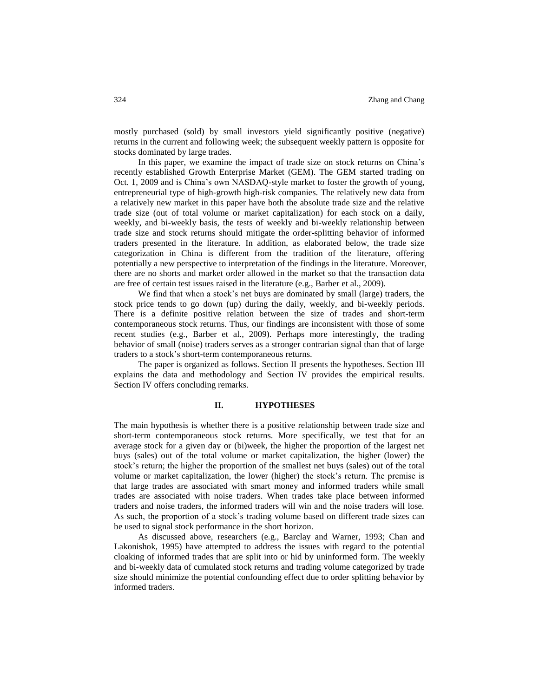mostly purchased (sold) by small investors yield significantly positive (negative) returns in the current and following week; the subsequent weekly pattern is opposite for stocks dominated by large trades.

In this paper, we examine the impact of trade size on stock returns on China's recently established Growth Enterprise Market (GEM). The GEM started trading on Oct. 1, 2009 and is China's own NASDAQ-style market to foster the growth of young, entrepreneurial type of high-growth high-risk companies. The relatively new data from a relatively new market in this paper have both the absolute trade size and the relative trade size (out of total volume or market capitalization) for each stock on a daily, weekly, and bi-weekly basis, the tests of weekly and bi-weekly relationship between trade size and stock returns should mitigate the order-splitting behavior of informed traders presented in the literature. In addition, as elaborated below, the trade size categorization in China is different from the tradition of the literature, offering potentially a new perspective to interpretation of the findings in the literature. Moreover, there are no shorts and market order allowed in the market so that the transaction data are free of certain test issues raised in the literature (e.g., Barber et al., 2009).

We find that when a stock's net buys are dominated by small (large) traders, the stock price tends to go down (up) during the daily, weekly, and bi-weekly periods. There is a definite positive relation between the size of trades and short-term contemporaneous stock returns. Thus, our findings are inconsistent with those of some recent studies (e.g., Barber et al., 2009). Perhaps more interestingly, the trading behavior of small (noise) traders serves as a stronger contrarian signal than that of large traders to a stock's short-term contemporaneous returns.

The paper is organized as follows. Section II presents the hypotheses. Section III explains the data and methodology and Section IV provides the empirical results. Section IV offers concluding remarks.

#### **II. HYPOTHESES**

The main hypothesis is whether there is a positive relationship between trade size and short-term contemporaneous stock returns. More specifically, we test that for an average stock for a given day or (bi)week, the higher the proportion of the largest net buys (sales) out of the total volume or market capitalization, the higher (lower) the stock's return; the higher the proportion of the smallest net buys (sales) out of the total volume or market capitalization, the lower (higher) the stock's return. The premise is that large trades are associated with smart money and informed traders while small trades are associated with noise traders. When trades take place between informed traders and noise traders, the informed traders will win and the noise traders will lose. As such, the proportion of a stock's trading volume based on different trade sizes can be used to signal stock performance in the short horizon.

As discussed above, researchers (e.g., Barclay and Warner, 1993; Chan and Lakonishok, 1995) have attempted to address the issues with regard to the potential cloaking of informed trades that are split into or hid by uninformed form. The weekly and bi-weekly data of cumulated stock returns and trading volume categorized by trade size should minimize the potential confounding effect due to order splitting behavior by informed traders.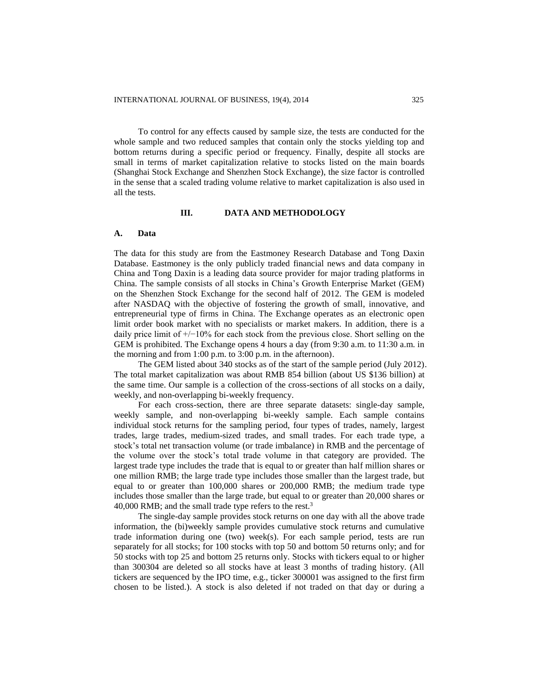To control for any effects caused by sample size, the tests are conducted for the whole sample and two reduced samples that contain only the stocks yielding top and bottom returns during a specific period or frequency. Finally, despite all stocks are small in terms of market capitalization relative to stocks listed on the main boards (Shanghai Stock Exchange and Shenzhen Stock Exchange), the size factor is controlled in the sense that a scaled trading volume relative to market capitalization is also used in all the tests.

## **III. DATA AND METHODOLOGY**

#### **A. Data**

The data for this study are from the Eastmoney Research Database and Tong Daxin Database. Eastmoney is the only publicly traded financial news and data company in China and Tong Daxin is a leading data source provider for major trading platforms in China. The sample consists of all stocks in China's Growth Enterprise Market (GEM) on the Shenzhen Stock Exchange for the second half of 2012. The GEM is modeled after NASDAQ with the objective of fostering the growth of small, innovative, and entrepreneurial type of firms in China. The Exchange operates as an electronic open limit order book market with no specialists or market makers. In addition, there is a daily price limit of +/−10% for each stock from the previous close. Short selling on the GEM is prohibited. The Exchange opens 4 hours a day (from 9:30 a.m. to 11:30 a.m. in the morning and from 1:00 p.m. to 3:00 p.m. in the afternoon).

The GEM listed about 340 stocks as of the start of the sample period (July 2012). The total market capitalization was about RMB 854 billion (about US \$136 billion) at the same time. Our sample is a collection of the cross-sections of all stocks on a daily, weekly, and non-overlapping bi-weekly frequency.

For each cross-section, there are three separate datasets: single-day sample, weekly sample, and non-overlapping bi-weekly sample. Each sample contains individual stock returns for the sampling period, four types of trades, namely, largest trades, large trades, medium-sized trades, and small trades. For each trade type, a stock's total net transaction volume (or trade imbalance) in RMB and the percentage of the volume over the stock's total trade volume in that category are provided. The largest trade type includes the trade that is equal to or greater than half million shares or one million RMB; the large trade type includes those smaller than the largest trade, but equal to or greater than 100,000 shares or 200,000 RMB; the medium trade type includes those smaller than the large trade, but equal to or greater than 20,000 shares or 40,000 RMB; and the small trade type refers to the rest.<sup>3</sup>

The single-day sample provides stock returns on one day with all the above trade information, the (bi)weekly sample provides cumulative stock returns and cumulative trade information during one (two) week(s). For each sample period, tests are run separately for all stocks; for 100 stocks with top 50 and bottom 50 returns only; and for 50 stocks with top 25 and bottom 25 returns only. Stocks with tickers equal to or higher than 300304 are deleted so all stocks have at least 3 months of trading history. (All tickers are sequenced by the IPO time, e.g., ticker 300001 was assigned to the first firm chosen to be listed.). A stock is also deleted if not traded on that day or during a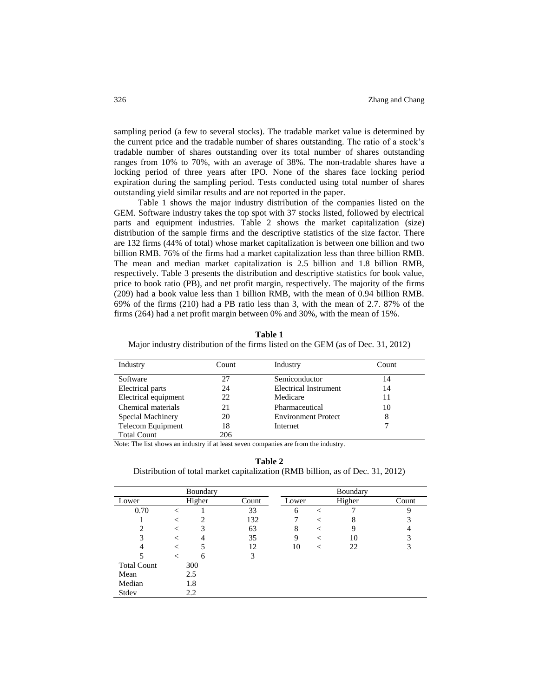sampling period (a few to several stocks). The tradable market value is determined by the current price and the tradable number of shares outstanding. The ratio of a stock's tradable number of shares outstanding over its total number of shares outstanding ranges from 10% to 70%, with an average of 38%. The non-tradable shares have a locking period of three years after IPO. None of the shares face locking period expiration during the sampling period. Tests conducted using total number of shares outstanding yield similar results and are not reported in the paper.

Table 1 shows the major industry distribution of the companies listed on the GEM. Software industry takes the top spot with 37 stocks listed, followed by electrical parts and equipment industries. Table 2 shows the market capitalization (size) distribution of the sample firms and the descriptive statistics of the size factor. There are 132 firms (44% of total) whose market capitalization is between one billion and two billion RMB. 76% of the firms had a market capitalization less than three billion RMB. The mean and median market capitalization is 2.5 billion and 1.8 billion RMB, respectively. Table 3 presents the distribution and descriptive statistics for book value, price to book ratio (PB), and net profit margin, respectively. The majority of the firms (209) had a book value less than 1 billion RMB, with the mean of 0.94 billion RMB. 69% of the firms (210) had a PB ratio less than 3, with the mean of 2.7. 87% of the firms (264) had a net profit margin between 0% and 30%, with the mean of 15%.

**Table 1** Major industry distribution of the firms listed on the GEM (as of Dec. 31, 2012)

| Industry             | Count | Industry                     | Count |
|----------------------|-------|------------------------------|-------|
| Software             | 27    | Semiconductor                | 14    |
| Electrical parts     | 24    | <b>Electrical Instrument</b> | 14    |
| Electrical equipment | 22    | Medicare                     | 11    |
| Chemical materials   | 21    | Pharmaceutical               | 10    |
| Special Machinery    | 20    | <b>Environment Protect</b>   | 8     |
| Telecom Equipment    | 18    | Internet                     |       |
| <b>Total Count</b>   | 206   |                              |       |

Note: The list shows an industry if at least seven companies are from the industry.

**Table 2**

Distribution of total market capitalization (RMB billion, as of Dec. 31, 2012)

|                    |   | Boundary |       |       |         | Boundary |       |
|--------------------|---|----------|-------|-------|---------|----------|-------|
| Lower              |   | Higher   | Count | Lower |         | Higher   | Count |
| 0.70               | ✓ |          | 33    | 6     | $\,<\,$ |          | Q     |
|                    |   | 2        | 132   |       | $\,<\,$ | 8        |       |
| $\overline{c}$     |   | 3        | 63    | 8     | $\,<\,$ |          |       |
| 3                  |   |          | 35    | 9     | $\,<\,$ | 10       | 3     |
| 4                  |   |          | 12    | 10    | $\,<\,$ | 22       |       |
|                    | < | 6        | 3     |       |         |          |       |
| <b>Total Count</b> |   | 300      |       |       |         |          |       |
| Mean               |   | 2.5      |       |       |         |          |       |
| Median             |   | 1.8      |       |       |         |          |       |
| Stdev              |   | 2.2      |       |       |         |          |       |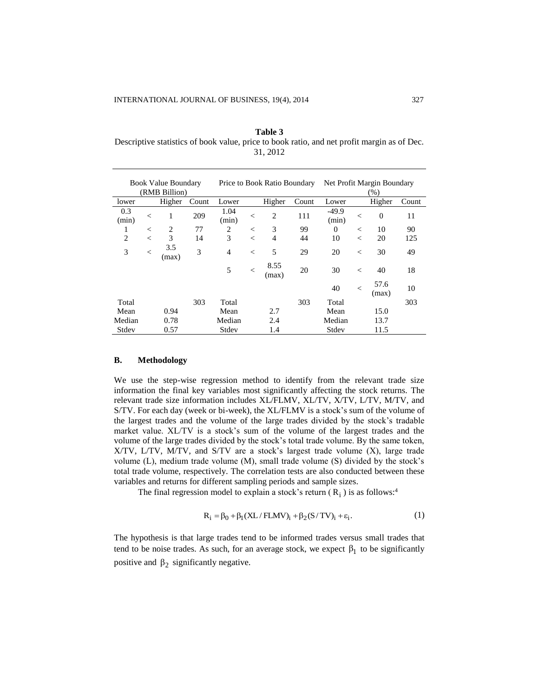**Table 3** Descriptive statistics of book value, price to book ratio, and net profit margin as of Dec. 31, 2012

| <b>Book Value Boundary</b><br>(RMB Billion) |         |              | Price to Book Ratio Boundary |                |         | Net Profit Margin Boundary<br>(%) |       |                  |         |               |       |
|---------------------------------------------|---------|--------------|------------------------------|----------------|---------|-----------------------------------|-------|------------------|---------|---------------|-------|
| lower                                       |         | Higher       | Count                        | Lower          |         | Higher                            | Count | Lower            |         | Higher        | Count |
| 0.3<br>(min)                                | $\,<\,$ | 1            | 209                          | 1.04<br>(min)  | $\,<$   | $\overline{c}$                    | 111   | $-49.9$<br>(min) | $\,<\,$ | $\Omega$      | 11    |
| 1                                           | $\,<\,$ | 2            | 77                           | 2              | $\,<$   | 3                                 | 99    | $\Omega$         | $\,<\,$ | 10            | 90    |
| $\overline{2}$                              | $\,<\,$ | 3            | 14                           | 3              | $\,<$   | 4                                 | 44    | 10               | $\,<$   | 20            | 125   |
| 3                                           | $\,<\,$ | 3.5<br>(max) | 3                            | $\overline{4}$ | $\,<$   | 5                                 | 29    | 20               | $\,<\,$ | 30            | 49    |
|                                             |         |              |                              | 5              | $\,<\,$ | 8.55<br>(max)                     | 20    | 30               | $\,<\,$ | 40            | 18    |
|                                             |         |              |                              |                |         |                                   |       | 40               | $\,<$   | 57.6<br>(max) | 10    |
| Total                                       |         |              | 303                          | Total          |         |                                   | 303   | Total            |         |               | 303   |
| Mean                                        |         | 0.94         |                              | Mean           |         | 2.7                               |       | Mean             |         | 15.0          |       |
| Median                                      |         | 0.78         |                              | Median         |         | 2.4                               |       | Median           |         | 13.7          |       |
| Stdev                                       |         | 0.57         |                              | Stdev          |         | 1.4                               |       | Stdev            |         | 11.5          |       |

#### **B. Methodology**

We use the step-wise regression method to identify from the relevant trade size information the final key variables most significantly affecting the stock returns. The relevant trade size information includes XL/FLMV, XL/TV, X/TV, L/TV, M/TV, and S/TV. For each day (week or bi-week), the XL/FLMV is a stock's sum of the volume of the largest trades and the volume of the large trades divided by the stock's tradable market value. XL/TV is a stock's sum of the volume of the largest trades and the volume of the large trades divided by the stock's total trade volume. By the same token, X/TV, L/TV, M/TV, and S/TV are a stock's largest trade volume (X), large trade volume (L), medium trade volume (M), small trade volume (S) divided by the stock's total trade volume, respectively. The correlation tests are also conducted between these variables and returns for different sampling periods and sample sizes.

The final regression model to explain a stock's return  $(R_i)$  is as follows:<sup>4</sup>

$$
R_i = \beta_0 + \beta_1 (XL/FLMV)_i + \beta_2 (S/TV)_i + \varepsilon_i.
$$
 (1)

The hypothesis is that large trades tend to be informed trades versus small trades that tend to be noise trades. As such, for an average stock, we expect  $\beta_1$  to be significantly positive and  $\beta_2$  significantly negative.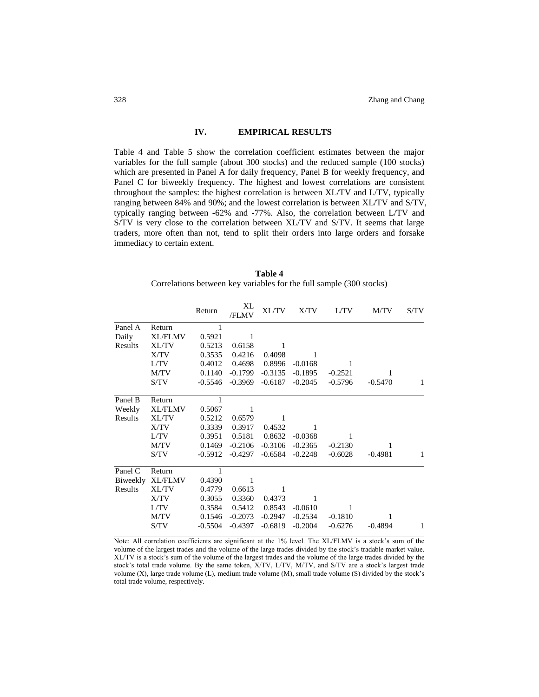## **IV. EMPIRICAL RESULTS**

Table 4 and Table 5 show the correlation coefficient estimates between the major variables for the full sample (about 300 stocks) and the reduced sample (100 stocks) which are presented in Panel A for daily frequency, Panel B for weekly frequency, and Panel C for biweekly frequency. The highest and lowest correlations are consistent throughout the samples: the highest correlation is between XL/TV and L/TV, typically ranging between 84% and 90%; and the lowest correlation is between XL/TV and S/TV, typically ranging between -62% and -77%. Also, the correlation between L/TV and S/TV is very close to the correlation between XL/TV and S/TV. It seems that large traders, more often than not, tend to split their orders into large orders and forsake immediacy to certain extent.

| Table 4                                                             |
|---------------------------------------------------------------------|
| Correlations between key variables for the full sample (300 stocks) |

|          |                | Return    | XL<br>/FLMV | XL/TV     | X/TV      | L/TV      | M/TV      | S/TV |
|----------|----------------|-----------|-------------|-----------|-----------|-----------|-----------|------|
| Panel A  | Return         |           |             |           |           |           |           |      |
| Daily    | <b>XL/FLMV</b> | 0.5921    | 1           |           |           |           |           |      |
| Results  | <b>XL/TV</b>   | 0.5213    | 0.6158      | 1         |           |           |           |      |
|          | X/TV           | 0.3535    | 0.4216      | 0.4098    | 1         |           |           |      |
|          | L/TV           | 0.4012    | 0.4698      | 0.8996    | $-0.0168$ | 1         |           |      |
|          | M/TV           | 0.1140    | $-0.1799$   | $-0.3135$ | $-0.1895$ | $-0.2521$ |           |      |
|          | S/TV           | $-0.5546$ | $-0.3969$   | $-0.6187$ | $-0.2045$ | $-0.5796$ | $-0.5470$ | 1    |
| Panel B  | Return         | 1         |             |           |           |           |           |      |
| Weekly   | <b>XL/FLMV</b> | 0.5067    | 1           |           |           |           |           |      |
| Results  | <b>XL/TV</b>   | 0.5212    | 0.6579      |           |           |           |           |      |
|          | X/TV           | 0.3339    | 0.3917      | 0.4532    | 1         |           |           |      |
|          | L/TV           | 0.3951    | 0.5181      | 0.8632    | $-0.0368$ | 1         |           |      |
|          | M/TV           | 0.1469    | $-0.2106$   | $-0.3106$ | $-0.2365$ | $-0.2130$ |           |      |
|          | S/TV           | $-0.5912$ | $-0.4297$   | $-0.6584$ | $-0.2248$ | $-0.6028$ | $-0.4981$ | 1    |
| Panel C  | Return         | 1         |             |           |           |           |           |      |
| Biweekly | <b>XL/FLMV</b> | 0.4390    | 1           |           |           |           |           |      |
| Results  | <b>XL/TV</b>   | 0.4779    | 0.6613      |           |           |           |           |      |
|          | X/TV           | 0.3055    | 0.3360      | 0.4373    | 1         |           |           |      |
|          | L/TV           | 0.3584    | 0.5412      | 0.8543    | $-0.0610$ | 1         |           |      |
|          | M/TV           | 0.1546    | $-0.2073$   | $-0.2947$ | $-0.2534$ | $-0.1810$ | 1         |      |
|          | S/TV           | $-0.5504$ | $-0.4397$   | $-0.6819$ | $-0.2004$ | $-0.6276$ | $-0.4894$ | 1    |

Note: All correlation coefficients are significant at the 1% level. The XL/FLMV is a stock's sum of the volume of the largest trades and the volume of the large trades divided by the stock's tradable market value. XL/TV is a stock's sum of the volume of the largest trades and the volume of the large trades divided by the stock's total trade volume. By the same token, X/TV, L/TV, M/TV, and S/TV are a stock's largest trade volume (X), large trade volume (L), medium trade volume (M), small trade volume (S) divided by the stock's total trade volume, respectively.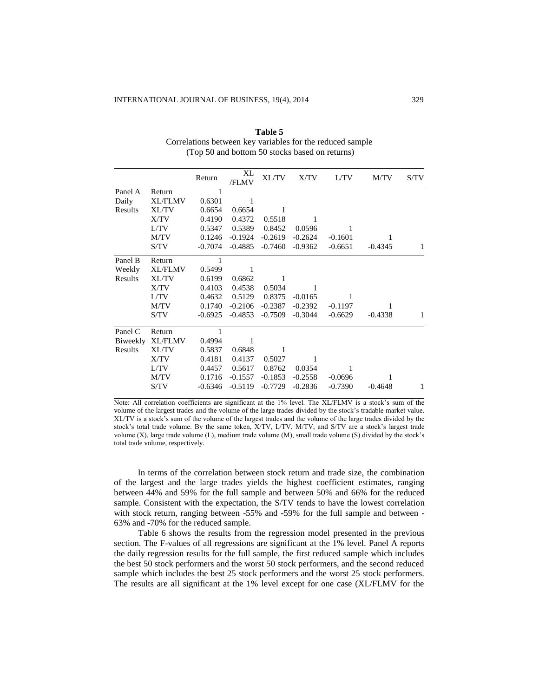|          |                | Return    | XL<br>/FLMV | XL/TV     | X/TV      | L/TV      | M/TV      | S/TV |
|----------|----------------|-----------|-------------|-----------|-----------|-----------|-----------|------|
| Panel A  | Return         |           |             |           |           |           |           |      |
| Daily    | <b>XL/FLMV</b> | 0.6301    | 1           |           |           |           |           |      |
| Results  | <b>XL/TV</b>   | 0.6654    | 0.6654      |           |           |           |           |      |
|          | X/TV           | 0.4190    | 0.4372      | 0.5518    | 1         |           |           |      |
|          | L/TV           | 0.5347    | 0.5389      | 0.8452    | 0.0596    | 1         |           |      |
|          | M/TV           | 0.1246    | $-0.1924$   | $-0.2619$ | $-0.2624$ | $-0.1601$ | 1         |      |
|          | S/TV           | $-0.7074$ | $-0.4885$   | $-0.7460$ | $-0.9362$ | $-0.6651$ | -0.4345   | 1    |
| Panel B  | Return         | 1         |             |           |           |           |           |      |
| Weekly   | <b>XL/FLMV</b> | 0.5499    | 1           |           |           |           |           |      |
| Results  | <b>XL/TV</b>   | 0.6199    | 0.6862      | 1         |           |           |           |      |
|          | X/TV           | 0.4103    | 0.4538      | 0.5034    | 1         |           |           |      |
|          | L/TV           | 0.4632    | 0.5129      | 0.8375    | $-0.0165$ | 1         |           |      |
|          | M/TV           | 0.1740    | $-0.2106$   | $-0.2387$ | $-0.2392$ | $-0.1197$ | 1         |      |
|          | S/TV           | $-0.6925$ | $-0.4853$   | $-0.7509$ | $-0.3044$ | $-0.6629$ | $-0.4338$ | 1    |
| Panel C  | Return         |           |             |           |           |           |           |      |
| Biweekly | <b>XL/FLMV</b> | 0.4994    |             |           |           |           |           |      |
| Results  | <b>XL/TV</b>   | 0.5837    | 0.6848      | 1         |           |           |           |      |
|          | X/TV           | 0.4181    | 0.4137      | 0.5027    | 1         |           |           |      |
|          | L/TV           | 0.4457    | 0.5617      | 0.8762    | 0.0354    | 1         |           |      |
|          | M/TV           | 0.1716    | $-0.1557$   | $-0.1853$ | $-0.2558$ | $-0.0696$ | 1         |      |
|          | S/TV           | $-0.6346$ | $-0.5119$   | $-0.7729$ | $-0.2836$ | $-0.7390$ | $-0.4648$ | 1    |

**Table 5** Correlations between key variables for the reduced sample (Top 50 and bottom 50 stocks based on returns)

Note: All correlation coefficients are significant at the 1% level. The XL/FLMV is a stock's sum of the volume of the largest trades and the volume of the large trades divided by the stock's tradable market value. XL/TV is a stock's sum of the volume of the largest trades and the volume of the large trades divided by the stock's total trade volume. By the same token, X/TV, L/TV, M/TV, and S/TV are a stock's largest trade volume (X), large trade volume (L), medium trade volume (M), small trade volume (S) divided by the stock's total trade volume, respectively.

In terms of the correlation between stock return and trade size, the combination of the largest and the large trades yields the highest coefficient estimates, ranging between 44% and 59% for the full sample and between 50% and 66% for the reduced sample. Consistent with the expectation, the S/TV tends to have the lowest correlation with stock return, ranging between -55% and -59% for the full sample and between - 63% and -70% for the reduced sample.

Table 6 shows the results from the regression model presented in the previous section. The F-values of all regressions are significant at the 1% level. Panel A reports the daily regression results for the full sample, the first reduced sample which includes the best 50 stock performers and the worst 50 stock performers, and the second reduced sample which includes the best 25 stock performers and the worst 25 stock performers. The results are all significant at the 1% level except for one case (XL/FLMV for the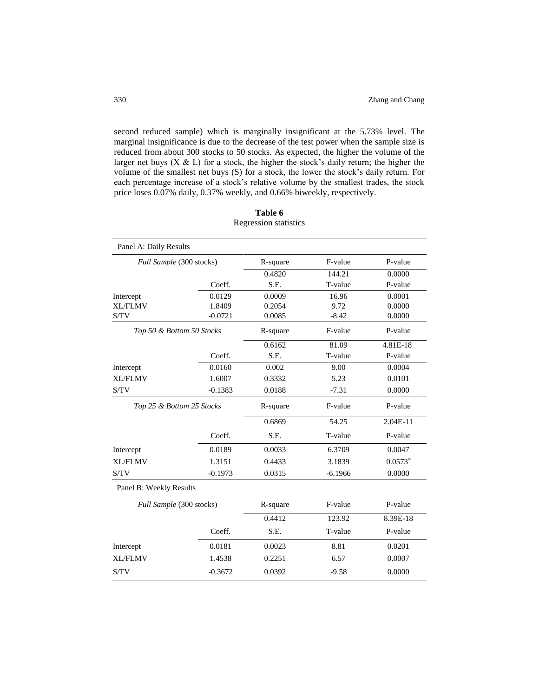second reduced sample) which is marginally insignificant at the 5.73% level. The marginal insignificance is due to the decrease of the test power when the sample size is reduced from about 300 stocks to 50 stocks. As expected, the higher the volume of the larger net buys  $(X & L)$  for a stock, the higher the stock's daily return; the higher the volume of the smallest net buys (S) for a stock, the lower the stock's daily return. For each percentage increase of a stock's relative volume by the smallest trades, the stock price loses 0.07% daily, 0.37% weekly, and 0.66% biweekly, respectively.

| Panel A: Daily Results    |                          |          |           |           |
|---------------------------|--------------------------|----------|-----------|-----------|
|                           | Full Sample (300 stocks) | R-square | F-value   | P-value   |
|                           |                          | 0.4820   | 144.21    | 0.0000    |
|                           | Coeff.                   | S.E.     | T-value   | P-value   |
| Intercept                 | 0.0129                   | 0.0009   | 16.96     | 0.0001    |
| <b>XL/FLMV</b>            | 1.8409                   | 0.2054   | 9.72      | 0.0000    |
| S/TV                      | $-0.0721$                | 0.0085   | $-8.42$   | 0.0000    |
| Top 50 & Bottom 50 Stocks |                          | R-square | F-value   | P-value   |
|                           |                          | 0.6162   | 81.09     | 4.81E-18  |
|                           | Coeff.                   | S.E.     | T-value   | P-value   |
| Intercept                 | 0.0160                   | 0.002    | 9.00      | 0.0004    |
| <b>XL/FLMV</b>            | 1.6007                   | 0.3332   | 5.23      | 0.0101    |
| S/TV                      | $-0.1383$                | 0.0188   | $-7.31$   | 0.0000    |
| Top 25 & Bottom 25 Stocks |                          | R-square | F-value   | P-value   |
|                           |                          | 0.6869   | 54.25     | 2.04E-11  |
|                           | Coeff.                   | S.E.     | T-value   | P-value   |
| Intercept                 | 0.0189                   | 0.0033   | 6.3709    | 0.0047    |
| <b>XL/FLMV</b>            | 1.3151                   | 0.4433   | 3.1839    | $0.0573*$ |
| S/TV                      | $-0.1973$                | 0.0315   | $-6.1966$ | 0.0000    |
| Panel B: Weekly Results   |                          |          |           |           |
|                           | Full Sample (300 stocks) | R-square | F-value   | P-value   |
|                           |                          | 0.4412   | 123.92    | 8.39E-18  |
|                           | Coeff.                   | S.E.     | T-value   | P-value   |
| Intercept                 | 0.0181                   | 0.0023   | 8.81      | 0.0201    |
| <b>XL/FLMV</b>            | 1.4538                   | 0.2251   | 6.57      | 0.0007    |
| S/TV                      | $-0.3672$                | 0.0392   | $-9.58$   | 0.0000    |

| Table 6                      |  |  |  |  |  |  |
|------------------------------|--|--|--|--|--|--|
| <b>Regression statistics</b> |  |  |  |  |  |  |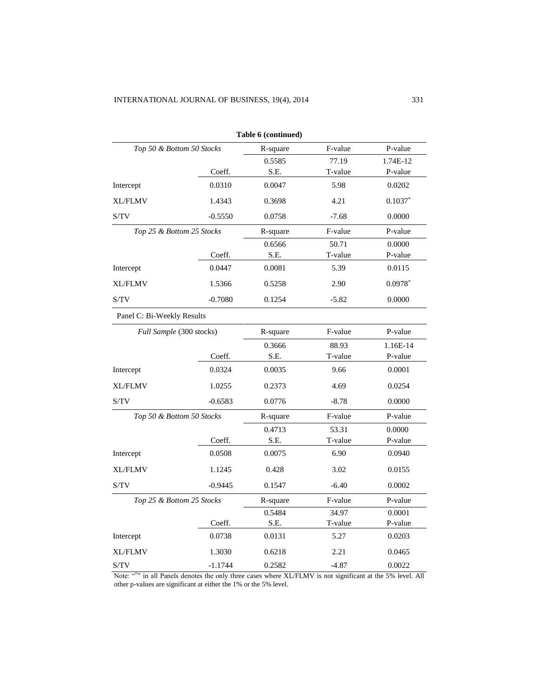|                            |           | Table 6 (continued) |         |           |
|----------------------------|-----------|---------------------|---------|-----------|
| Top 50 & Bottom 50 Stocks  |           | R-square            | F-value | P-value   |
|                            |           | 0.5585              | 77.19   | 1.74E-12  |
|                            | Coeff.    | S.E.                | T-value | P-value   |
| Intercept                  | 0.0310    | 0.0047              | 5.98    | 0.0202    |
| <b>XL/FLMV</b>             | 1.4343    | 0.3698              | 4.21    | $0.1037*$ |
| S/TV                       | $-0.5550$ | 0.0758              | $-7.68$ | 0.0000    |
| Top 25 & Bottom 25 Stocks  |           | R-square            | F-value | P-value   |
|                            |           | 0.6566              | 50.71   | 0.0000    |
|                            | Coeff.    | S.E.                | T-value | P-value   |
| Intercept                  | 0.0447    | 0.0081              | 5.39    | 0.0115    |
| <b>XL/FLMV</b>             | 1.5366    | 0.5258              | 2.90    | $0.0978*$ |
| S/TV                       | $-0.7080$ | 0.1254              | $-5.82$ | 0.0000    |
| Panel C: Bi-Weekly Results |           |                     |         |           |
| Full Sample (300 stocks)   |           | R-square            | F-value | P-value   |
|                            |           | 0.3666              | 88.93   | 1.16E-14  |
|                            | Coeff.    | S.E.                | T-value | P-value   |
| Intercept                  | 0.0324    | 0.0035              | 9.66    | 0.0001    |
| <b>XL/FLMV</b>             | 1.0255    | 0.2373              | 4.69    | 0.0254    |
| S/TV                       | $-0.6583$ | 0.0776              | $-8.78$ | 0.0000    |
| Top 50 & Bottom 50 Stocks  |           | R-square            | F-value | P-value   |
|                            |           | 0.4713              | 53.31   | 0.0000    |
|                            | Coeff.    | S.E.                | T-value | P-value   |
| Intercept                  | 0.0508    | 0.0075              | 6.90    | 0.0940    |
| <b>XL/FLMV</b>             | 1.1245    | 0.428               | 3.02    | 0.0155    |
| S/TV                       | $-0.9445$ | 0.1547              | $-6.40$ | 0.0002    |
| Top 25 & Bottom 25 Stocks  |           | R-square            | F-value | P-value   |
|                            |           | 0.5484              | 34.97   | 0.0001    |
|                            | Coeff.    | S.E.                | T-value | P-value   |
| Intercept                  | 0.0738    | 0.0131              | 5.27    | 0.0203    |
| <b>XL/FLMV</b>             | 1.3030    | 0.6218              | 2.21    | 0.0465    |
| S/TV                       | $-1.1744$ | 0.2582              | $-4.87$ | 0.0022    |

Note: "\*" in all Panels denotes the only three cases where XL/FLMV is not significant at the 5% level. All other p-values are significant at either the 1% or the 5% level.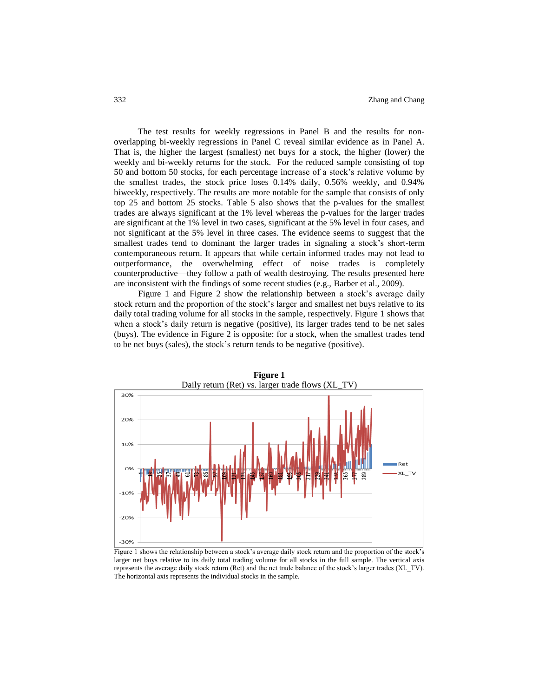The test results for weekly regressions in Panel B and the results for nonoverlapping bi-weekly regressions in Panel C reveal similar evidence as in Panel A. That is, the higher the largest (smallest) net buys for a stock, the higher (lower) the weekly and bi-weekly returns for the stock. For the reduced sample consisting of top 50 and bottom 50 stocks, for each percentage increase of a stock's relative volume by the smallest trades, the stock price loses 0.14% daily, 0.56% weekly, and 0.94% biweekly, respectively. The results are more notable for the sample that consists of only top 25 and bottom 25 stocks. Table 5 also shows that the p-values for the smallest trades are always significant at the 1% level whereas the p-values for the larger trades are significant at the 1% level in two cases, significant at the 5% level in four cases, and not significant at the 5% level in three cases. The evidence seems to suggest that the smallest trades tend to dominant the larger trades in signaling a stock's short-term contemporaneous return. It appears that while certain informed trades may not lead to outperformance, the overwhelming effect of noise trades is completely counterproductive—they follow a path of wealth destroying. The results presented here are inconsistent with the findings of some recent studies (e.g., Barber et al., 2009).

Figure 1 and Figure 2 show the relationship between a stock's average daily stock return and the proportion of the stock's larger and smallest net buys relative to its daily total trading volume for all stocks in the sample, respectively. Figure 1 shows that when a stock's daily return is negative (positive), its larger trades tend to be net sales (buys). The evidence in Figure 2 is opposite: for a stock, when the smallest trades tend to be net buys (sales), the stock's return tends to be negative (positive).



**Figure 1**

Figure 1 shows the relationship between a stock's average daily stock return and the proportion of the stock's larger net buys relative to its daily total trading volume for all stocks in the full sample. The vertical axis represents the average daily stock return (Ret) and the net trade balance of the stock's larger trades (XL\_TV). The horizontal axis represents the individual stocks in the sample.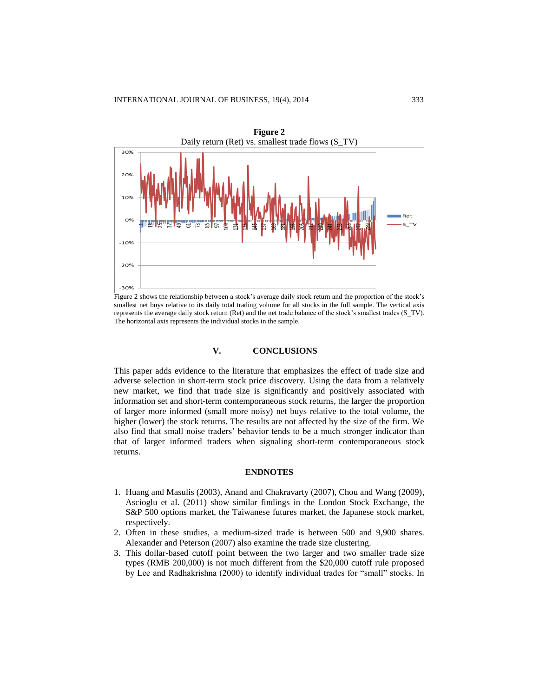

Figure 2 shows the relationship between a stock's average daily stock return and the proportion of the stock's smallest net buys relative to its daily total trading volume for all stocks in the full sample. The vertical axis represents the average daily stock return (Ret) and the net trade balance of the stock's smallest trades (S\_TV). The horizontal axis represents the individual stocks in the sample.

#### **V. CONCLUSIONS**

This paper adds evidence to the literature that emphasizes the effect of trade size and adverse selection in short-term stock price discovery. Using the data from a relatively new market, we find that trade size is significantly and positively associated with information set and short-term contemporaneous stock returns, the larger the proportion of larger more informed (small more noisy) net buys relative to the total volume, the higher (lower) the stock returns. The results are not affected by the size of the firm. We also find that small noise traders' behavior tends to be a much stronger indicator than that of larger informed traders when signaling short-term contemporaneous stock returns.

### **ENDNOTES**

- 1. Huang and Masulis (2003), Anand and Chakravarty (2007), Chou and Wang (2009), Ascioglu et al. (2011) show similar findings in the London Stock Exchange, the S&P 500 options market, the Taiwanese futures market, the Japanese stock market, respectively.
- 2. Often in these studies, a medium-sized trade is between 500 and 9,900 shares. Alexander and Peterson (2007) also examine the trade size clustering.
- 3. This dollar-based cutoff point between the two larger and two smaller trade size types (RMB 200,000) is not much different from the \$20,000 cutoff rule proposed by Lee and Radhakrishna (2000) to identify individual trades for "small" stocks. In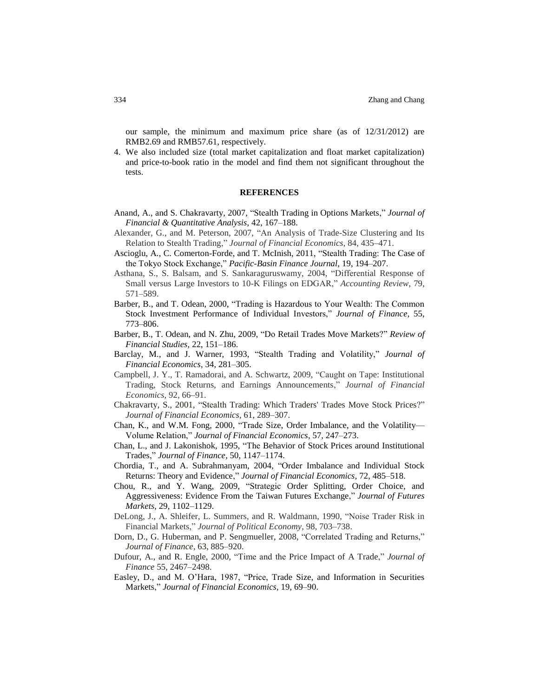our sample, the minimum and maximum price share (as of 12/31/2012) are RMB2.69 and RMB57.61, respectively.

4. We also included size (total market capitalization and float market capitalization) and price-to-book ratio in the model and find them not significant throughout the tests.

#### **REFERENCES**

- Anand, A., and S. Chakravarty, 2007, "Stealth Trading in Options Markets," *Journal of Financial & Quantitative Analysis*, 42, 167–188.
- Alexander, G., and M. Peterson, 2007, "An Analysis of Trade-Size Clustering and Its Relation to Stealth Trading," *Journal of Financial Economics,* 84, 435–471.
- Ascioglu, A., C. Comerton-Forde, and T. McInish, 2011, "Stealth Trading: The Case of the Tokyo Stock Exchange," *Pacific-Basin Finance Journal*, 19, 194–207.
- Asthana, S., S. Balsam, and S. Sankaraguruswamy, 2004, "Differential Response of Small versus Large Investors to 10-K Filings on EDGAR," *Accounting Review*, 79, 571–589.
- Barber, B., and T. Odean, 2000, "Trading is Hazardous to Your Wealth: The Common Stock Investment Performance of Individual Investors," *Journal of Finance,* 55, 773–806.
- Barber, B., T. Odean, and N. Zhu, 2009, "Do Retail Trades Move Markets?" *Review of Financial Studies,* 22, 151–186.
- Barclay, M., and J. Warner, 1993, "Stealth Trading and Volatility," *Journal of Financial Economics,* 34, 281–305.
- Campbell, J. Y., T. Ramadorai, and A. Schwartz, 2009, "Caught on Tape: Institutional Trading, Stock Returns, and Earnings Announcements," *Journal of Financial Economics,* 92, 66–91.
- Chakravarty, S., 2001, "Stealth Trading: Which Traders' Trades Move Stock Prices?" *Journal of Financial Economics,* 61, 289–307.
- Chan, K., and W.M. Fong, 2000, "Trade Size, Order Imbalance, and the Volatility— Volume Relation," *Journal of Financial Economics,* 57, 247–273.
- Chan, L., and J. Lakonishok, 1995, "The Behavior of Stock Prices around Institutional Trades," *Journal of Finance,* 50, 1147–1174.
- Chordia, T., and A. Subrahmanyam, 2004, "Order Imbalance and Individual Stock Returns: Theory and Evidence," *Journal of Financial Economics*, 72, 485–518.
- Chou, R., and Y. Wang, 2009, "Strategic Order Splitting, Order Choice, and Aggressiveness: Evidence From the Taiwan Futures Exchange," *Journal of Futures Markets,* 29, 1102–1129.
- DeLong, J., A. Shleifer, L. Summers, and R. Waldmann, 1990, "Noise Trader Risk in Financial Markets," *Journal of Political Economy,* 98, 703–738.
- Dorn, D., G. Huberman, and P. Sengmueller, 2008, "Correlated Trading and Returns," *Journal of Finance,* 63, 885–920.
- Dufour, A., and R. Engle, 2000, "Time and the Price Impact of A Trade," *Journal of Finance* 55, 2467–2498.
- Easley, D., and M. O'Hara, 1987, "Price, Trade Size, and Information in Securities Markets," *Journal of Financial Economics,* 19, 69–90.